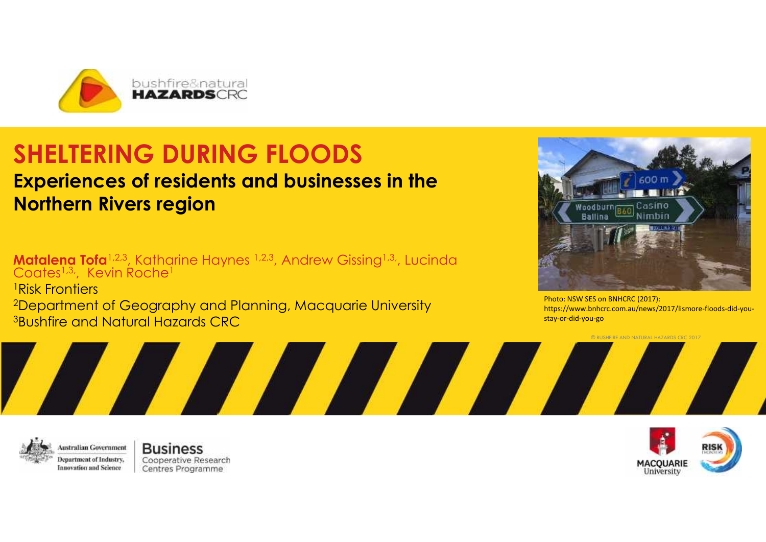

# **SHELTERING DURING FLOODS**

## **Experiences of residents and businesses in the Northern Rivers region**

**Matalena Tofa**1,2,3, Katharine Haynes 1,2,3, Andrew Gissing1,3,, Lucinda Coates<sup>1,3,</sup>, Kevin Roche<sup>1</sup> and <sup>1</sup>Risk Frontiers <sup>2</sup>Department of Geography and Planning, Macquarie University **3Bushfire and Natural Hazards CRC** 

AN MARIA

A,



Photo: NSW SES on BNHCRC (2017): https://www.bnhcrc.com.au/news/2017/lismore-floods-did-you stay-or-did-you-go

© BUSHFIRE AND NATURAL HAZARDS CRC 2017



**Australian Government** Department of Industry, **Innovation** and Science

**Business** Cooperative Research Centres Programme

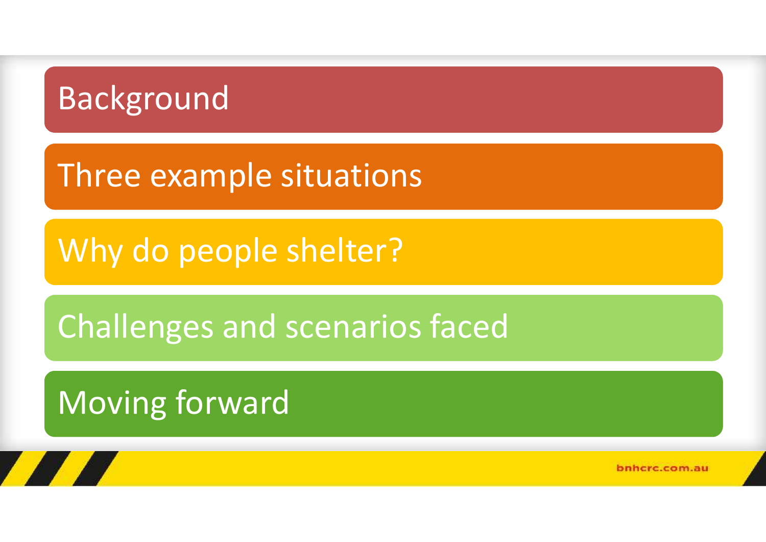# Background

# Three example situations

Why do people shelter?

Challenges and scenarios faced

# Moving forward

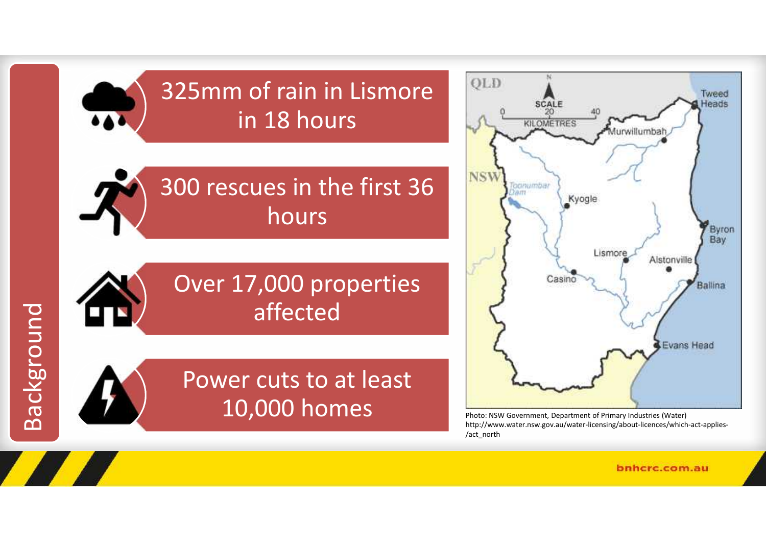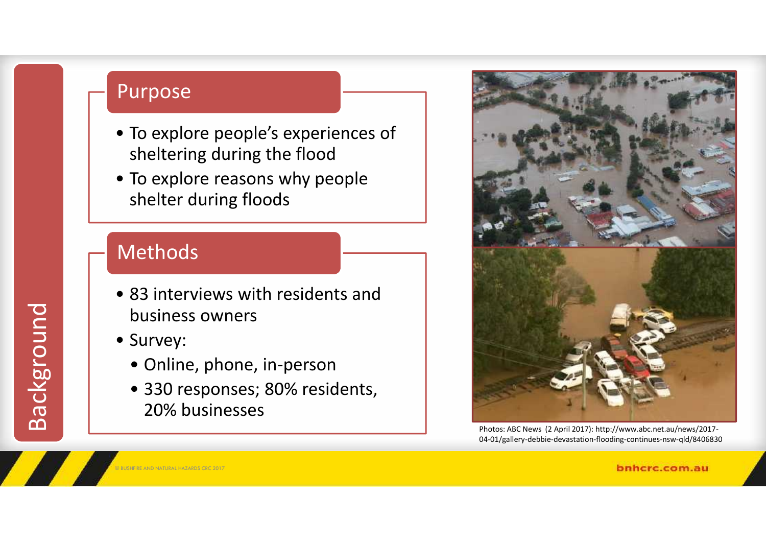## Purpose

- To explore people's experiences of sheltering during the flood
- To explore reasons why people shelter during floods

## Methods

- 83 interviews with residents and business owners
- Survey:

Background

T A

- Online, phone, in-person
- 330 responses; 80% residents, 20% businesses



Photos: ABC News (2 April 2017): http://www.abc.net.au/news/2017- 04-01/gallery-debbie-devastation-flooding-continues-nsw-qld/8406830

© BUSHFIRE AND NATURAL HAZARDS CRC 2017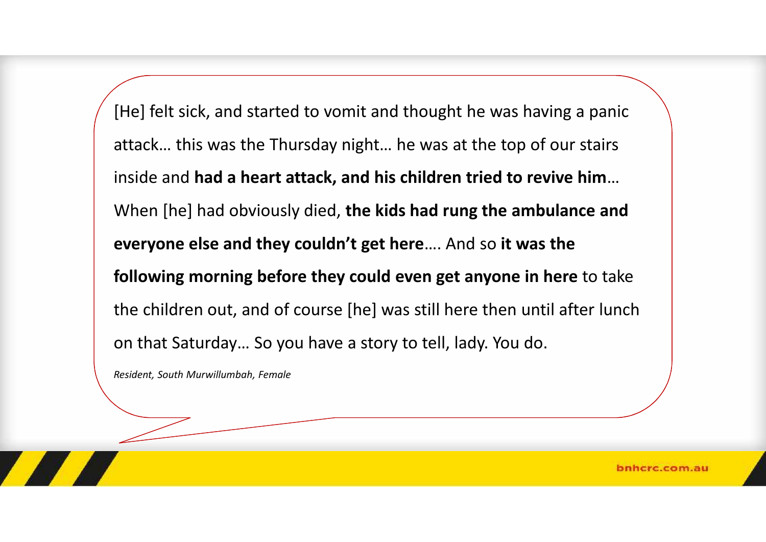[He] felt sick, and started to vomit and thought he was having a panic attack… this was the Thursday night… he was at the top of our stairs inside and **had a heart attack, and his children tried to revive him**… When [he] had obviously died, **the kids had rung the ambulance and everyone else and they couldn't get here**…. And so **it was the following morning before they could even get anyone in here** to take the children out, and of course [he] was still here then until after lunch on that Saturday… So you have a story to tell, lady. You do.

*Resident, South Murwillumbah, Female*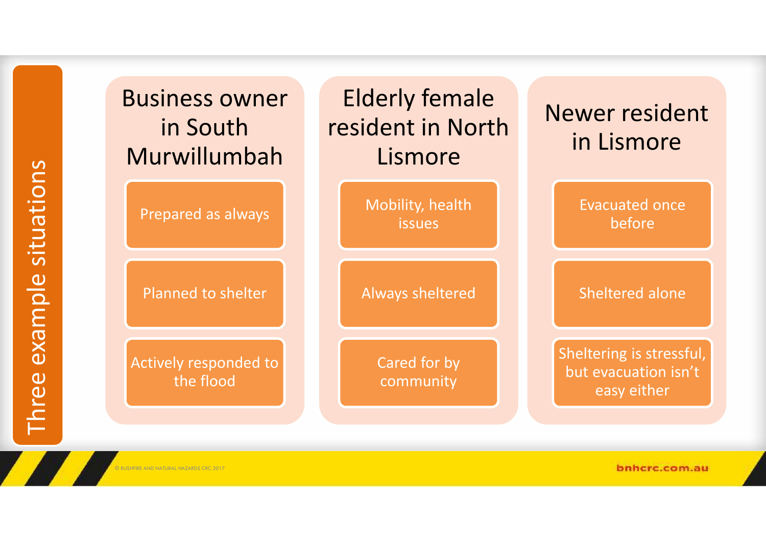|                         | <b>Business owr</b><br>in South<br>Murwillumb |
|-------------------------|-----------------------------------------------|
|                         | Prepared as alway                             |
|                         | Planned to shelte                             |
| aree example situations | <b>Actively responded</b><br>the flood        |
|                         | © BUSHFIRE AND NATURAL HAZARDS CRC 2017       |
|                         |                                               |

| <b>Business owner</b><br>in South<br>Murwillumbah | <b>Elderly female</b><br>resident in North<br>Lismore | Newer resident<br>in Lismore                                    |
|---------------------------------------------------|-------------------------------------------------------|-----------------------------------------------------------------|
| Prepared as always                                | Mobility, health<br><b>issues</b>                     | <b>Evacuated once</b><br>before                                 |
| Planned to shelter                                | <b>Always sheltered</b>                               | Sheltered alone                                                 |
| Actively responded to<br>the flood                | Cared for by<br>community                             | Sheltering is stressful,<br>but evacuation isn't<br>easy either |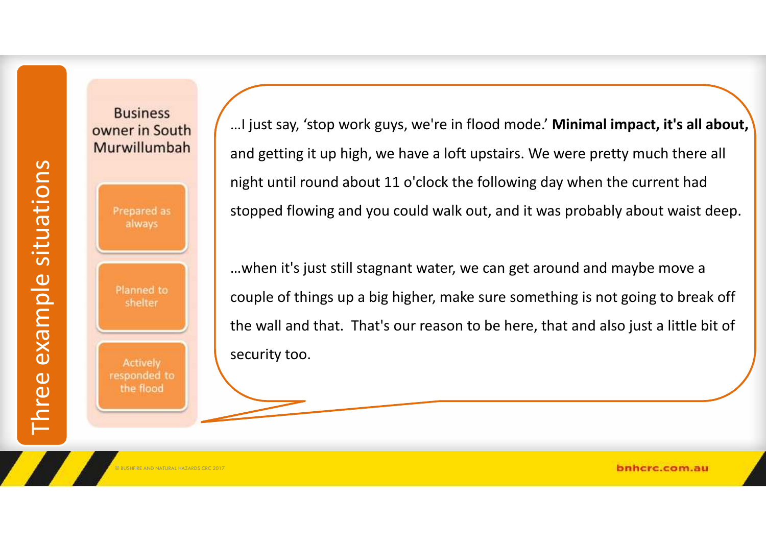# Three example situations<br>
Prepared as<br>
always<br>
Planned to<br>
shelter<br>
Ractively<br>
responded to<br>
the flood

**Business** owner in South Murwillumbah

…I just say, 'stop work guys, we're in flood mode.' **Minimal impact, it's all about,** and getting it up high, we have a loft upstairs. We were pretty much there all night until round about 11 o'clock the following day when the current had stopped flowing and you could walk out, and it was probably about waist deep.

…when it's just still stagnant water, we can get around and maybe move a couple of things up a big higher, make sure something is not going to break off the wall and that. That's our reason to be here, that and also just a little bit of security too.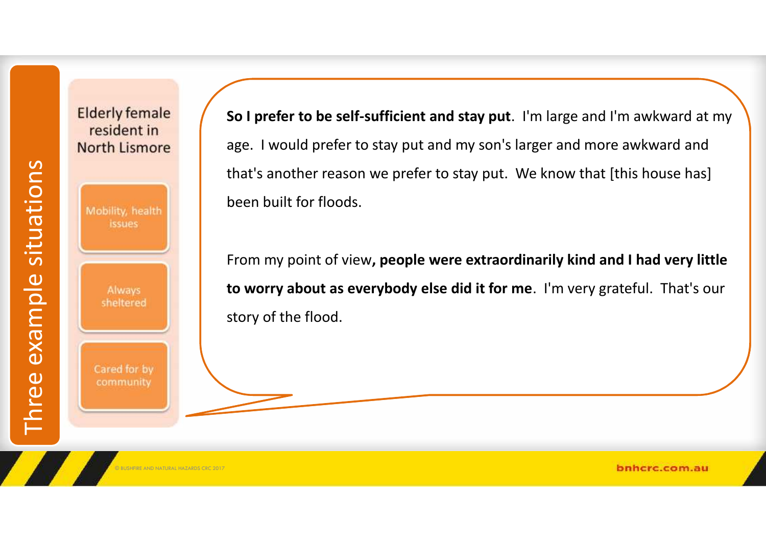

**Elderly female** resident in **North Lismore** 

**So I prefer to be self-sufficient and stay put**. I'm large and I'm awkward at my age. I would prefer to stay put and my son's larger and more awkward and that's another reason we prefer to stay put. We know that [this house has] been built for floods.

From my point of view**, people were extraordinarily kind and I had very little to worry about as everybody else did it for me**. I'm very grateful. That's our story of the flood.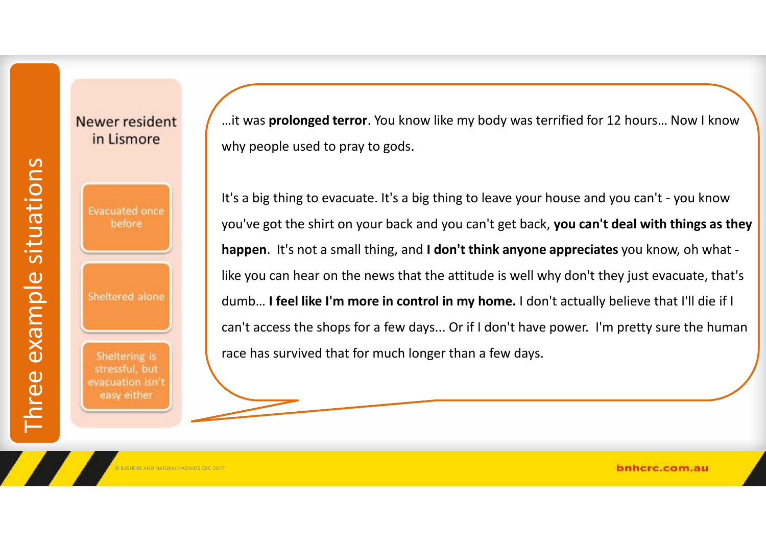#### Newer resident in Lismore

Three example situated once<br>
Evacuated once<br>
Sheltered alone<br>
Sheltering is<br>
Sheltering is<br>
evacuation isn't<br>
evacuation isn't<br>
easy either

…it was **prolonged terror**. You know like my body was terrified for 12 hours… Now I know why people used to pray to gods.

It's a big thing to evacuate. It's a big thing to leave your house and you can't - you know you've got the shirt on your back and you can't get back, **you can't deal with things as they happen**. It's not a small thing, and **I don't think anyone appreciates** you know, oh what like you can hear on the news that the attitude is well why don't they just evacuate, that's dumb… **I feel like I'm more in control in my home.** I don't actually believe that I'll die if I can't access the shops for a few days... Or if I don't have power. I'm pretty sure the human race has survived that for much longer than a few days.

© BUSHFIRE AND NATURAL HAZARDS CRC 2017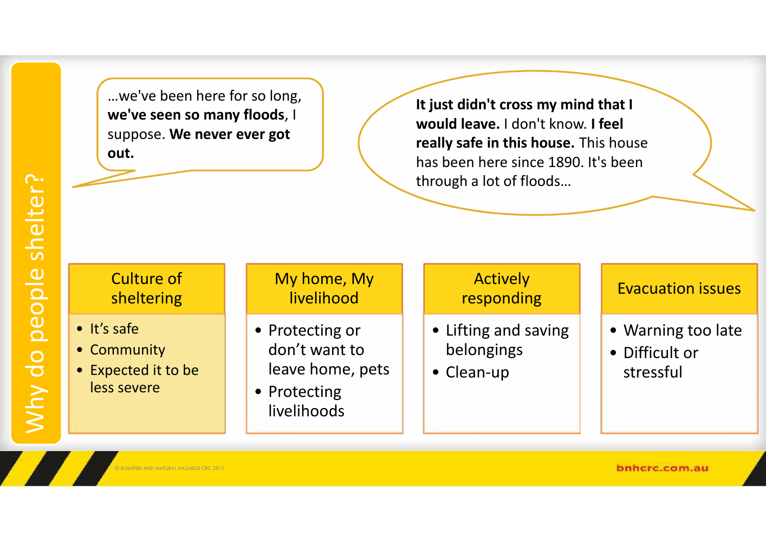…we've been here for so long, **we've seen so many floods**, I suppose. **We never ever got out.**

**It just didn't cross my mind that I would leave.** I don't know. **I feel really safe in this house.** This house has been here since 1890. It's been through a lot of floods…

#### Culture of sheltering

- It's safe
- Community
- Expected it to be less severe

#### My home, My livelihood

- Protecting or don't want to leave home, pets
- Protecting livelihoods

#### **Actively** responding

- Lifting and saving belongings
- Clean-up

#### Evacuation issues

- Warning too late
- Difficult or stressful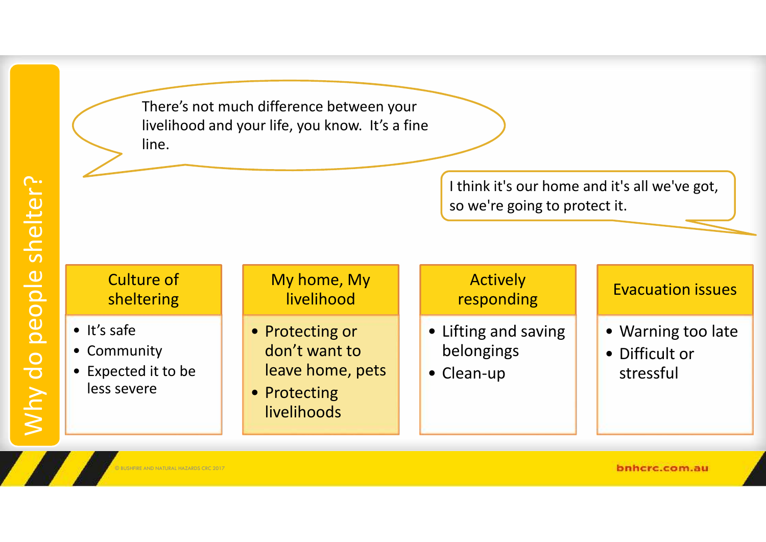There's not much difference between your livelihood and your life, you know. It's a fine line.

> I think it's our home and it's all we've got, so we're going to protect it.

#### Culture of sheltering

- It's safe
- Community
- Expected it to be less severe

#### My home, My livelihood

- Protecting or don't want to leave home, pets
- Protecting livelihoods

#### Actively responding

- Lifting and saving belongings
- Clean-up

#### Evacuation issues

- Warning too late
- Difficult or stressful

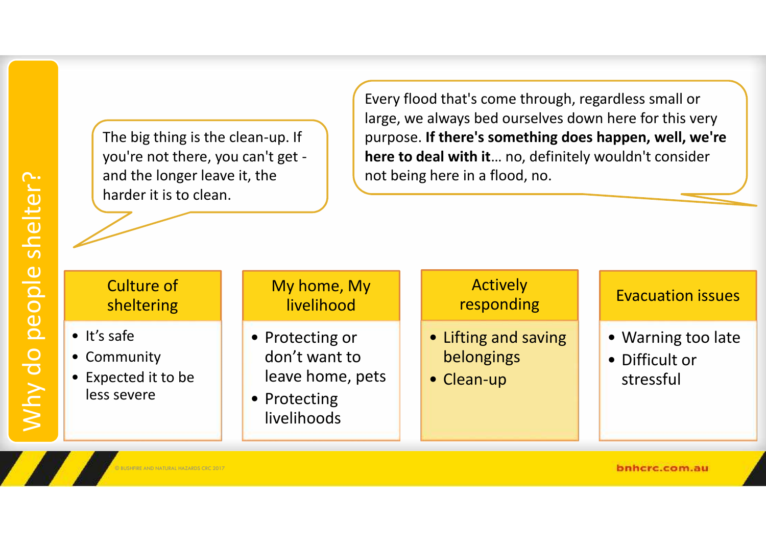Why do people shelter?

The big thing is the clean-up. If you're not there, you can't get and the longer leave it, the harder it is to clean.

Every flood that's come through, regardless small or large, we always bed ourselves down here for this very purpose. **If there's something does happen, well, we're here to deal with it**… no, definitely wouldn't consider not being here in a flood, no.

#### Culture of sheltering

- It's safe
- Community
- Expected it to be less severe

#### My home, My livelihood

- Protecting or don't want to leave home, pets
- Protecting livelihoods

#### **Actively** responding

- Lifting and saving belongings
- Clean-up

#### Evacuation issues

- Warning too late
- Difficult or stressful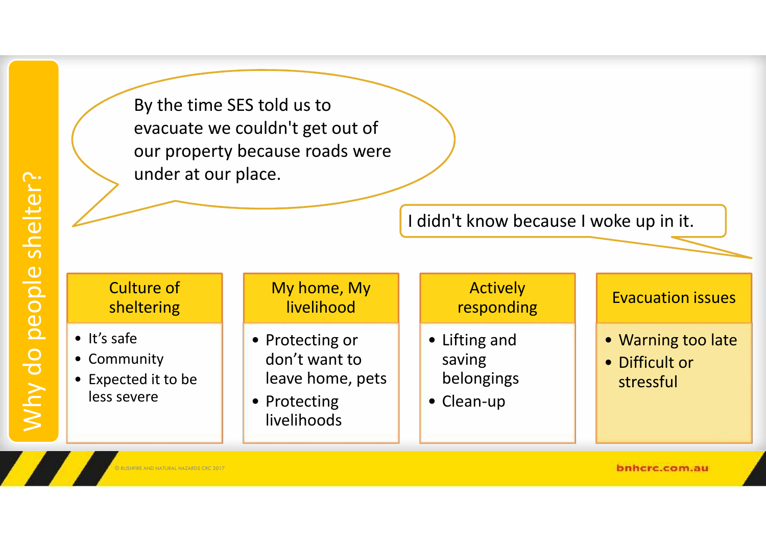Why do people shelter?

By the time SES told us to evacuate we couldn't get out of our property because roads were under at our place.

I didn't know because I woke up in it.

#### Culture of sheltering

- It's safe
- Community
- Expected it to be less severe

#### My home, My livelihood

- Protecting or don't want to leave home, pets
- Protecting livelihoods

#### Actively responding

- Lifting and saving belongings
- Clean-up

#### Evacuation issues

- Warning too late
- Difficult or stressful

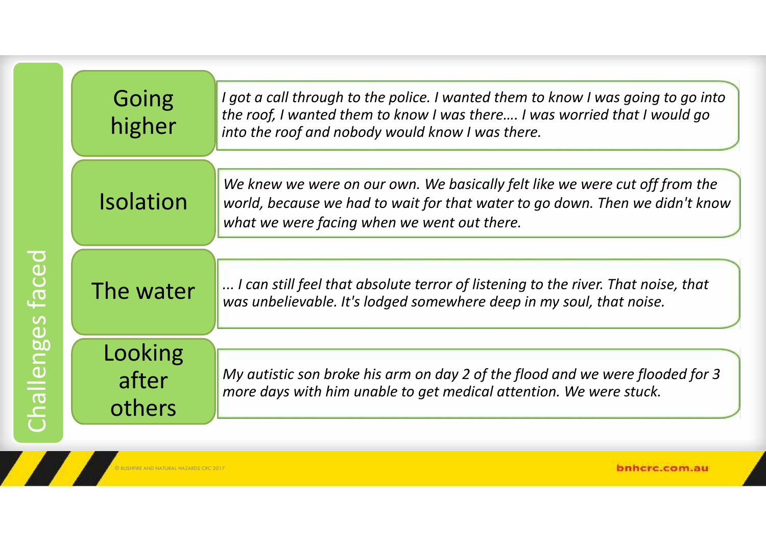|                                         | Going<br>higher            | I got a call through to the police. I wanted them to know I was going to go into<br>the roof, I wanted them to know I was there I was worried that I would go<br>into the roof and nobody would know I was there. |
|-----------------------------------------|----------------------------|-------------------------------------------------------------------------------------------------------------------------------------------------------------------------------------------------------------------|
| Ceo<br>enges<br>$\overline{\mathbf{c}}$ | <b>Isolation</b>           | We knew we were on our own. We basically felt like we were cut off from the<br>world, because we had to wait for that water to go down. Then we didn't know<br>what we were facing when we went out there.        |
|                                         | The water                  | I can still feel that absolute terror of listening to the river. That noise, that<br>was unbelievable. It's lodged somewhere deep in my soul, that noise.                                                         |
|                                         | Looking<br>after<br>others | My autistic son broke his arm on day 2 of the flood and we were flooded for 3<br>more days with him unable to get medical attention. We were stuck.                                                               |

© BUSHFIRE AND NATURAL HAZARDS CRC 2017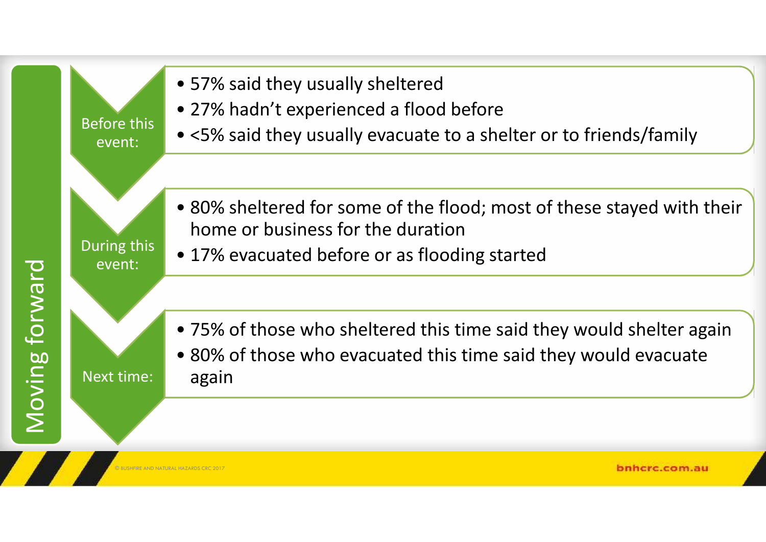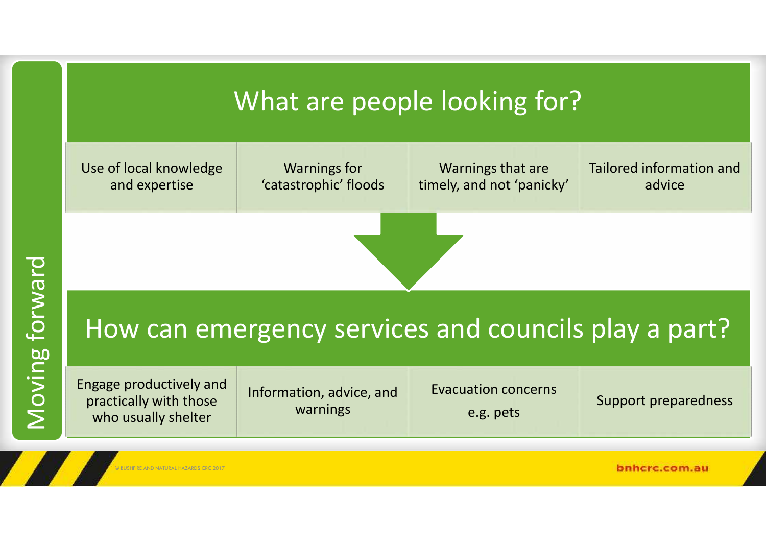